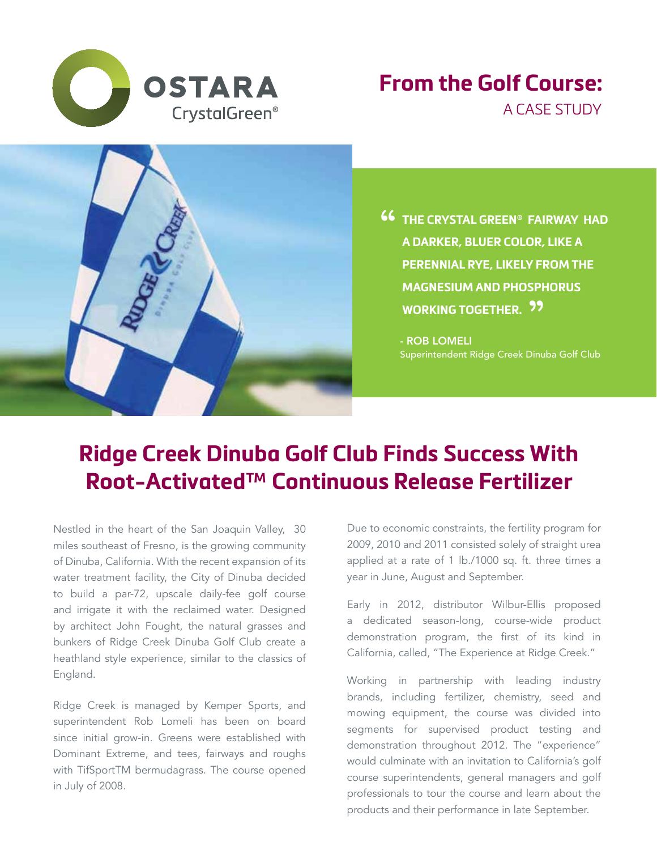

## **From the Golf Course:** A CASE STUDY



**46** THE CRYSTAL GREEN® FAIRWAY HAD<br>A DARKER, BLUER COLOR, LIKE A **A DARKER, BLUER COLOR, LIKE A PERENNIAL RYE, LIKELY FROM THE MAGNESIUM AND PHOSPHORUS**  WORKING TOGETHER. <mark>??</mark>

- ROB LOMELI Superintendent Ridge Creek Dinuba Golf Club

# **Ridge Creek Dinuba Golf Club Finds Success With Root-Activated™ Continuous Release Fertilizer**

Nestled in the heart of the San Joaquin Valley, 30 miles southeast of Fresno, is the growing community of Dinuba, California. With the recent expansion of its water treatment facility, the City of Dinuba decided to build a par-72, upscale daily-fee golf course and irrigate it with the reclaimed water. Designed by architect John Fought, the natural grasses and bunkers of Ridge Creek Dinuba Golf Club create a heathland style experience, similar to the classics of England.

Ridge Creek is managed by Kemper Sports, and superintendent Rob Lomeli has been on board since initial grow-in. Greens were established with Dominant Extreme, and tees, fairways and roughs with TifSportTM bermudagrass. The course opened in July of 2008.

Due to economic constraints, the fertility program for 2009, 2010 and 2011 consisted solely of straight urea applied at a rate of 1 lb./1000 sq. ft. three times a year in June, August and September.

Early in 2012, distributor Wilbur-Ellis proposed a dedicated season-long, course-wide product demonstration program, the first of its kind in California, called, "The Experience at Ridge Creek."

Working in partnership with leading industry brands, including fertilizer, chemistry, seed and mowing equipment, the course was divided into segments for supervised product testing and demonstration throughout 2012. The "experience" would culminate with an invitation to California's golf course superintendents, general managers and golf professionals to tour the course and learn about the products and their performance in late September.